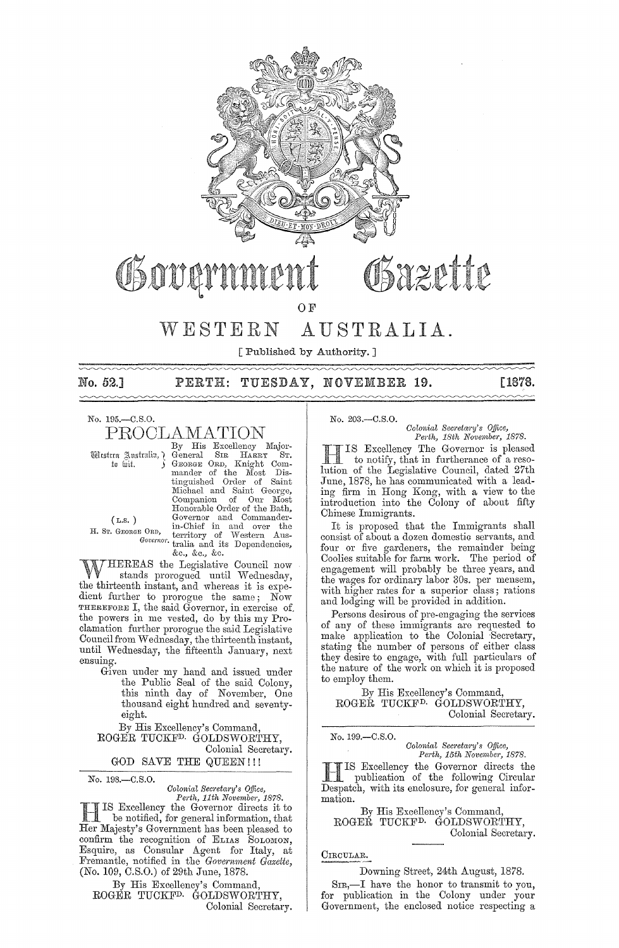

No. 195.-C.S.O. PROCLAMATION

By His Excellency Major- Western Australia,) General SIR HARRY ST.<br>
to hiit. S GEORGE ORD, Knight Commander of the Most Dis-<br>
tinguished Order of Saint<br>
Michael and Saint George,<br>
Companion of Our Most<br>
Honorable Order of the Bath,  $(L.s. )$  Governor and Commander-H. St. GEORGE ORD, in-Chief in and over the *Governor*, territory of Western Aus-<br>*Governor*, tralia and its Dependencies, &0., &0., &0.

WHEREAS the Legislative Oouncil now . stands prorogued until Wednesday, the thirteenth instant, and whereas it is expedient further to prorogue the same; Now THEREFORE I, the said Governor, in exercise of. the powers in me vested, do by this my Proclamation further prorogue the said Legislative Council from Wednesday, the thirteenth instant, until. Wednesday, the fifteenth January, next ensuing.

Given under my hand and issued under the Public Seal of the said Oolony, this ninth day of November, One thousand eight hundred and seventyeight.

By His Excellency's Oommand, ROGER TUOKFD. GOLDSWORTHY,

Oolonial Secretary. GOD SAVE THE QUEEN!!!

No. 198.-C.S.O.

### *Colonial SeC1'etary's Office,*

*Perth, 11th November, 1878.*  HIS Excellency the Governor directs it to be notified, for general information, that Her Majesty's Government has been pleased to confirm the recognition of ELIAS SOLOMON, Esquire, as Oonsular Agent for Italy, at Fremantle, notified in the *Govemmeni Gazette,*  (No. 109, C.S.O.) of 29th June, 1878.

By His Excellency's Oommand, ROGER TUOKFD. GOLDSWORTHY, Oolonial Secretary. No. 203.-C.S.O.

*Colonial Secreia,'Y's Office, Perth, 18th November, 1878.* 

H IS Excellency The Governor is pleased to notify, that in furtherance of a resolution of the Legislative Oouncil, dated 27th June, 1878, he has communicated with a leading firm in Hong Kong, with a view to the introduction into the Oolony of about fifty Ohinese Immigrants.

It is proposed that the Immigrants sball consist of about a dozen domestic servants, and four or five gardeners, the remainder being Ooolies suitable for farm work. The period of engagement will probably be three years, and the wages for ordinary labor 30s. per mensem, with higher rates for a superior class; rations and lodging will be provided in addition.

Persons desirous of pre-engaging the services of any of these immigrants are requested to make application to the Colonial Secretary, stating the number of persons of either class they desire to engage, with full particulars of the nature of the work on which it is proposed to employ them.

By His Excellency's Oommand, ROGER TUOKFD. GOLDSWORTHY, Oolonial Secretary.

No. 199.-C.S.O.

*Colonial Secretary's Office,* Perth, 15th November, 1878.

**HERIS Excellency the Governor directs the publication of the following Circular** Despatch, with its enclosure, for general information.

By His Excellency's Oommand, ROGER TUOKFD. GOLDSWORTHY, Oolonial Secretary.

### OIRCULAR.

Downing Street, 24th August, 1878.

SIR,-I have the bonor to transmit to you, for publication in the Oolony under your Government, the enclosed notice respecting a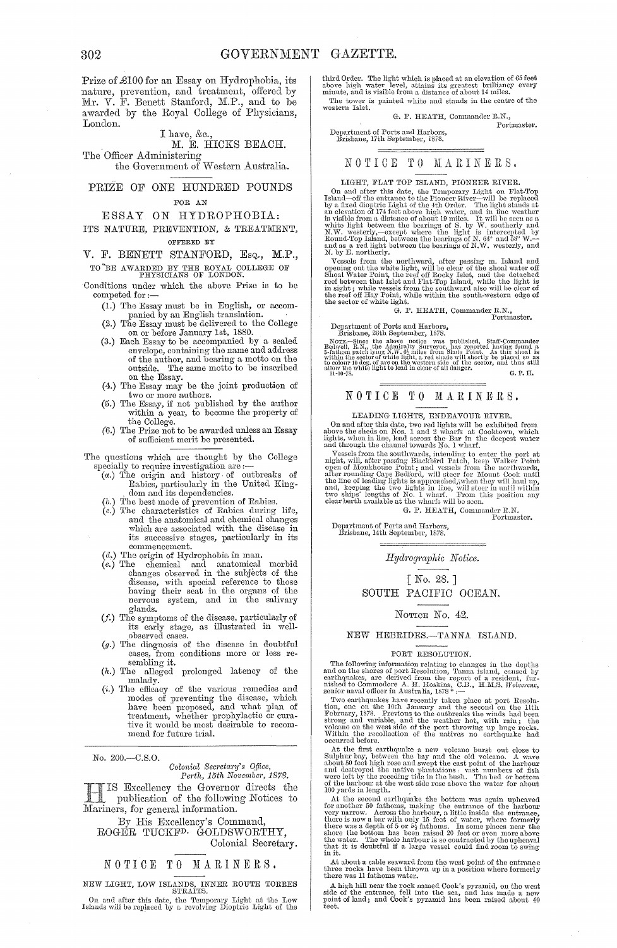Prize of £100 for an Essay on Hydrophobia, its nature, prevention, and treatment, offered by Mr. V. F. Benett Stanford, M.P., and to be awarded by the Royal College of Physicians, London.

#### I have, &c.,

#### M. E. HICKS BEACH.

The Officer Administering the Government of Western Australia.

### PRIZE OF ONE HUNDRED POUNDS FOR AN

#### ESSAY ON HYDROPHOBIA:

ITS NATURE, PREVENTION, & TREATMENT, OFFERED BY

# V. F. BENETT STANFORD, Esq., M.P.,

TO'BE AWARDED BY THE ROYAL COLLEGE OF PHYSICIANS OF LONDON.

Conditions under which the above Prize is to be competed for:-

- (1.) The Essay must be in English, or accom- panied by an English translation. .
	- (2.) '1'he Essay must be delivered to the College on or before January 1st, 1880.
- (3.) Each Essay to be accompanied by a sealed envelope, containing the name and address<br>
of the author, and bearing a motto on the<br>
outside. The same motto to be inscribed<br>
on the Essay.<br>
(4.) The Essay may be the joint production of
- two or more authors.
- (5.) The Essay, if not published by the author within a year, to become the property of the College.
- (6.) The Prize not to be awarded unless an Essay of sufficient merit be presented.

The questions which arc thought by the College

- ie questions which are thought by the College<br>specially to require investigation are :---<br>(a.) The origin and history of outbreaks of<br>Rabies, particularly in the United King-. dom and its dependencies.
	-
	- (b.) The best mode of prevention of Rabies.<br>
	(c.) The characteristics of Rabies during life,<br>
	and the anatomical and chemical changes<br>
	which are associated with the disease in its successive stages, particularly in its commencement.<br>  $(d.)$  The origin of Hydrophobia in man.
	-
	- (d.) The origin of Hydrophobia in man.<br>
	(e.) The chemical and anatomical morbid<br>
	changes observed in the subjects of the<br>
	disease, with special reference to those<br>
	having their seat in the organs of the nervous system, and in the salivary glands.
	- $(f.)$  The symptoms of the disease, particularly of its early stage, as illustrated in well-<br>observed cases.
	- observed cases. *(g.)* The diagnosis of the disease in doubtful cases, from conditions more or less resembling it.
	- (h.) The alleged prolonged latency of the malady.
	- (i.) The efficacy of the various remedies and modes of preventing the disease, which have been proposed, and what plan of treatment, whether prophylactic or cura-tive it would be most desirable to recommend for future trial.

No. 200.-C.S.0.

# *Colonial Secretary's Office,*<br>Perth, 15th November, 1878.

Excellency the Governor directs the  $\Box$ publication of the following Notices to Mariners, for general information.

By His Excellency's Command, ROGER TUCKFD. GOLDSWORTHY,

Colonial Secretary.

# NOTICE TO MARINERS.

NEW LIGHT, LOW ISLANDS, INNER ROUTE TORRES STRAITS.

On and after this date, the Temporary Light at the Low Islands will be replaced by a revolving Dioptric Light of the

third Order. The light which is placed at an elevation of 65 feet above high water level, attains its greatest brilliancy every minute, and is visible from a distance of about 14 miles. The tower is painted white and stands in the centre of the western Islet.

G. P. HEATH, Commander R.N.,<br>Portmaster.

# Portmaster. Department of Ports and IIarbors, Brisbane, 17th September, 1878.

#### NOTICE TO MARINERS.

LIGHT, FLAT TOP ISLAND, PIONEER RIVER.<br>
On and after this date, the Temporary Light on Flat-Top<br>
Island—off the entrance to the Pioneer River—will be replaced<br>
by a fixed dioptic Light of the 4th Order. The light stands at Round-Top Island, between the bearings of N. (4° and 58° W.-<br>and as a red light between the bearings of N.W. westerly, and<br>M. by E. northerly.

x, by *E*, moreoverly,<br>
Yessels from the northward, after passing m. Island and<br>
Yessels from the white light, will be clear of the shoal water off<br>
Shoal Water Point, the reef off Rocky Islet, and the detached<br>
reef betw

G. P. HEATH, Commander R.N., Portmaster.

Portmaster.<br>Department of Ports and Harbors, Brisbane, 26th September, 1878.

Beauvent, Le.N., the Audinfracty Surveyor, has reported navned to 3-fathom patch lying N.W. 65 miles from Shade Point. As this shoat is within the sector of white light, a red sinds will be not be don't light to colour 10

# NOTICE TO MARINERS.

# LEADING LIGHTS, ENDEAVOUR RIVER.

On and after this date, two red lights will be exhibited from above the sheds on Nos. 1 and 2 wharfs at Cooktown, which lights, when in line, lead across the - Bar in the deepest water and through the channel towards No. 1

and unough the channel owards by a measurement of Vessels from the southwards, intending to enter the port at<br>night, will, after passing Blackbird Patch, keep Walker Point<br>open of Monkhouse Fount; and vessels from the nor

G. P. HEATH, Commander R.N. Portmaster.

Department of Ports and Harbors, Brisbane, 14th September, 1878.

 $Hydrographic$  *Notice.* 

[No. 28.]

SOUTH PACIFIC OCEAN.

#### NOTICE No. 42.

#### NEW HEBRIDES .- TANNA ISLAND.

#### PORT RESOLUTION.

The following information relating to changes in the depths<br>and on the shores of port Resolution, Tanna island, caused by<br>earthquakes, are derived from the report of a resident, fur-<br>nished to Commodore A. H. Hoskins, C.B

Two earthquakes have recently taken place at port Resolution, one on the 10th January and the second on the 11th Hebruary, 1878. Previous to the outbreaks the winds had been strong and variable, and the weather hot, with

occurred before.<br>
At the first earthquake a new volcano burst out close to<br>
Author say, between the bay and the old volcano. A wave<br>
about 50 feet high rose and swept the east point of the harbour<br>
and destroyed the nativ

100 yards in length.<br>
At the second earthquake the bottom was again upheaved<br>
for another 50 fathoms, making the entrance of the harbour<br>
very narrow. Across the harbour, a little inside the entrance,<br>
there is now a bar

At about a cable seaward from the west point of the entrance three rocks have been thrown up in a position where formerly there was 11 fathoms water.

A high hill near the rock named Cook's pyramid, on the west side of the entrance, fell into the sea, and has made a new point of land; and Cook's pyramid has been raised about 40 fect.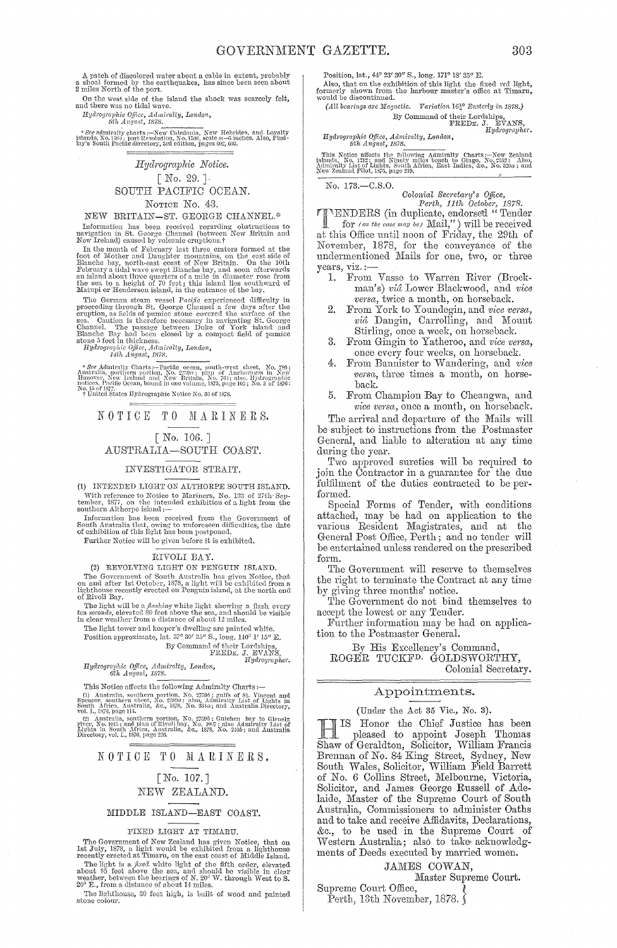A patch of discolored water about a cable in extent, probably a shoal formed by the earthquakes, has since been seen about  $2$  miles North of the port.

On the west side of the island the shock was scarcely felt, and there was no tidal wave.

Hydrographic Office, Admiralty, London,<br>Sth August, 1878.

 $*$   $See$  admirally charts :—New Caledonia, New Hebrides, and Loyalty islands, No. 1389; port Resolution, No. 1508, scale  $m\!=\!6$  inches. Also, Findlay's South Pacific directory, 3rd edition, pages  $0$ 2,  $0$ 3.

### Hydrographic Notice.  $[No. 29.]$ SOUTH PACIFIC OCEAN. NOTICE No. 43.

NEW BRITAIN-ST. GEORGE CHANNEL.\*

Information has been received regarding obstructions to navigation in St. George Channel (between New Britain and New Ireland) caused by volcanic eruptions. $\dagger$ 

New Treating) caused by volcaint erupholis.<br>The members formed at the Indian of February last three craters formed at the foot of Mother and Daughter mountains, on the east side of Blanche bay, north-east coast of New Bri

matup or neuterson is<br>nind, in the entrance of the ony. The German steam wessel Pacific experienced difficulty in<br>proceeding through St. George Channel a few days after the<br>eruption, as fields of pumice stone covered the

\* See Admiralty Charts:—Pacific ocean, south-west sheet, No. 789; Anstralia, northern portion, No. 2750 $a$ ; plan of Anchorages in New Hinnover, New Ireland and New Britain, No. 764; also, Hydrographic Indieses, Pacific Oc notices, Pacific Ocean, bound in the contract No. 35 of 1878.<br>
To 15 of 1877.<br>
Tunited States Hydrographic Notice No. 35 of 1878.

NOTICE TO MARINERS.

 $\lceil$  No. 106.  $\rceil$ AUSTRALIA-SOUTH COAST.

### INVESTIGATOR STRAIT.

(1) INTENDED LIGHT ON ALTHORPE SOUTH ISLAND. With reference to Notice to Mariners, No. 133 of 27th September, 1877, on the intended exhibition of a light from the southern Althorpe island :-

**Expansion has been received from the Government of** South Australia that, owing to unforeseen difficulties, the date of exhibition of this light has been postponed.

Further Notice will be given before it is exhibited.

#### RIVOLI BAY.

 $\begin{tabular}{ll} & \textbf{A} & \textbf{B} \\ \textbf{(2)} & \textbf{REVOLYING LIGHT ON PENGUIN ISLAND.} \\ \textbf{The Government of South Australia has given Notice, that on and after 1st October, 1875, a light will be exhibited from a lighthouse recently erected on Penguin island, at the north end of Rivoll Bay.} \end{tabular}$ 

or two may. The light will be a flashing white light showing a flash every ten seconds, elevated 80 feet above the sea, and should be visible in clear weather from a distance of about 12 miles.

can value and a usual convert manipulation of the light tower and keeper's dwelling are painted white.<br>
Position approximate, lat. 37° 30' 35" S., long. 140° 1' 15" E.<br>
By Command of their Lordanian.<br>
FREDE, J. BVANS,<br>
Hud

Hydrographic Office, Admiralty, London,<br>6th August, 1878.

This Notice affects the following Admiralty Charts :-The Section and the point of the property of the Michael (1) Australia, southern portion, No. 2750*b*; gulfs of 5t. Vincent and Spencer, southern sheet, No. 2389*a*; also, Admiralty List of Lights in South Africa, Austral

vol. 1, 1500, page 114.<br>
(2) Anstralia, southern portion, No. 2759b; Guichen bay to Glenelg<br>
river, No. 1015; and plan of Rivoli bay, No. 1067; also Admiralty List of<br>
Lights in South Africa, Australia, &c., 1878, No. 240b

#### NOTICE TO MARINERS.

## [No. 107.] NEW ZEALAND.

#### MIDDLE ISLAND-EAST COAST.

#### FIXED LIGHT AT TIMARU.

The Government of New Zealand has given Notice, that on<br>Ist July 1878, a light would be exhibited from a lighthouse<br>recently erected at Timaru, on the east coast of Middle Island.<br>The light is a *fixed* white light of the

The lighthouse, 30 feet high, is built of wood and painted stone colour.

Position, lat., 44° 23' 30" S., long. 171° 18' 35" E.

Also, that on the exhibition of this light the fixed red light, formerly shown from the harbour master's office at Timaru, would be discontinued.

(All bearings are Magnetic. Variation  $16^{10}_{2}$  Easterly in 1878.) By Command of their Lordships,<br>FREDE. J. EVANS,<br>Hydrographer. Hydrographer.

Hydrographic Office, Admiralty, London,<br>9th August, 1878.

This Notice affects the following Admiralty Charts:—New Zealand islands, No. 1312; and Ninety miles beach to Otago, No. 2532; Also, Admiralty List of Lights, South Africa, East Indies, &c., No. 320a; and New Zealand Pilot

No. 173.-C.S.O.

Colonial Secretary's Office,<br>
Perth, 11th October, 1878.<br>
NENDERS (in duplicate, endorsed "Tender<br>
for (as the case may be) Mail,") will be received at this Office until noon of Friday, the 29th of November, 1878, for the conveyance of the<br>undermentioned Mails for one, two, or three years, viz.:-

- 1. From Vasse to Warren River (Brockman's) vid Lower Blackwood, and vice versa, twice a month, on horseback.
- From York to Youndegin, and vice versa, vid Dangin, Carrolling, and Mount Stirling, once a week, on horseback.
- $\mathcal{B}$ . From Gingin to Yatheroo, and vice versa, once every four weeks, on horseback.
- From Bannister to Wandering, and vice 4. versa, three times a month, on horseback.
- From Champion Bay to Cheangwa, and 5. vice versa, once a month, on horseback.

The arrival and departure of the Mails will be subject to instructions from the Postmaster General, and liable to alteration at any time during the year.

Two approved sureties will be required to<br>join the Contractor in a guarantee for the due fulfilment of the duties contracted to be performed.

Special Forms of Tender, with conditions attached, may be had on application to the various Resident Magistrates, and at the General Post Office, Perth; and no tender will be entertained unless rendered on the prescribed form.

The Government will reserve to themselves the right to terminate the Contract at any time

by giving three months' notice.<br>The Government do not bind themselves to accept the lowest or any Tender.

Further information may be had on application to the Postmaster General.

By His Excellency's Command, ROGER TUCKF<sup>D.</sup> GOLDSWORTHY, Colonial Secretary.

Appointments.

#### (Under the Act 35 Vic., No. 3).

IS Honor the Chief Justice has been IS Honor the Chief Justice has been<br>pleased to appoint Joseph Thomas<br>Shaw of Geraldton, Solicitor, William Francis<br>Brennan of No. 84 King Street, Sydney, New<br>South Wales, Solicitor, William Field Barrett<br>of No. 6 Collins S laide, Master of the Supreme Court of South Australia, Commissioners to administer Oaths and to take and receive Affidavits, Declarations, &c., to be used in the Supreme Court of Western Australia; also to take acknowledgments of Deeds executed by married women.

#### JAMES COWAN,

Master Supreme Court.

Supreme Court Office, Perth, 13th November, 1878.  $\zeta$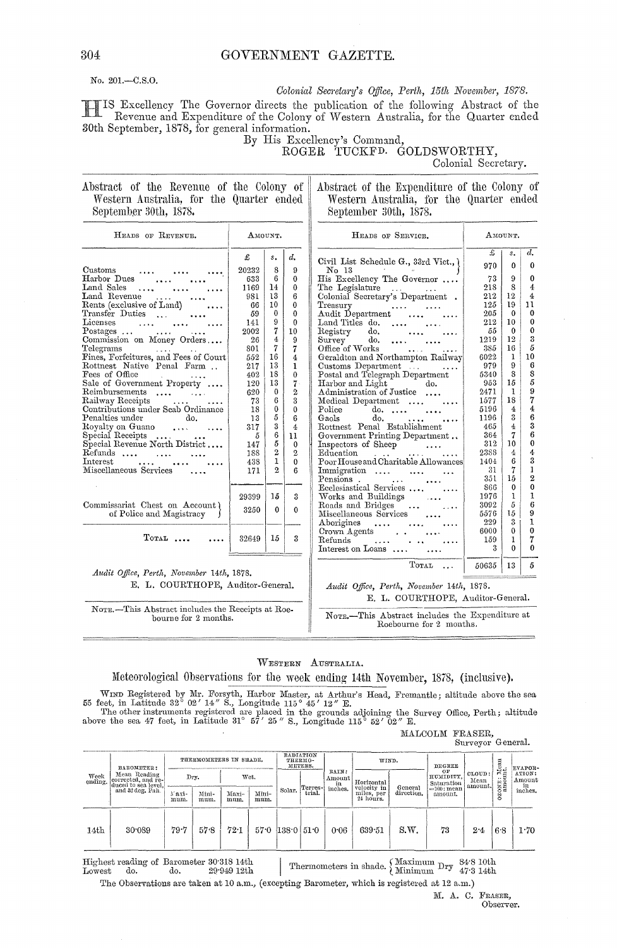# GOVERNMENT GAZETTE.

No. 201.-C.S.O.

Colonial Secretary's Office, Perth, 15th November, 1878.

IS Excellency The Governor directs the publication of the following Abstract of the Revenue and Expenditure of the Colony of Western Australia, for the Quarter ended 30th September, 1878, for general information.

By His Excellency's Command,<br>ROGER TUCKFD. GOLDSWORTHY,

Colonial Secretary.

#### Abstract of the Revenue of the Colony of Western Australia, for the Quarter ended September 30th, 1878.

Abstract of the Expenditure of the Colony of Western Australia, for the Quarter ended September 30th, 1878.

| HEADS OF REVENUE.                                             | AMOUNT. |                |                | HEADS OF SERVICE.                                                                | AMOUNT. |              |                  |
|---------------------------------------------------------------|---------|----------------|----------------|----------------------------------------------------------------------------------|---------|--------------|------------------|
|                                                               | £       | $s_{\bullet}$  | $d_{\bullet}$  |                                                                                  | £       | $s_{\star}$  | $\overline{d}$ . |
| Customs                                                       | 20232   | 8              | 9              | Civil List Schedule G., 33rd Vict., {<br>$\text{No}$ 13 and $\sim$ 14 and $\sim$ | 970     | $\Omega$     | $\theta$         |
| <b><i>Contractor Commission Commission</i></b><br>Harbor Dues | 633     | 6              | $\bf{0}$       | His Excellency The Governor                                                      | 73      | 9            | $\theta$         |
| Land Sales<br>$\cdots$                                        | 1169    | 14             | $\bf{0}$       | The Legislature                                                                  | 218     | 8            | $\overline{4}$   |
| Land Revenue                                                  | 981     | 13             | 6              | Colonial Secretary's Department.                                                 | 212     | 12           | $\overline{4}$   |
| Rents (exclusive of Land)<br>$\cdots$                         | 66      | 10             | $\Omega$       | Treasury                                                                         | 125     | 19           | 11               |
| Transfer Duties<br>$\sim$ 100 $\sim$ 100 $\sim$               | 59      | $\mathbf{0}$   | $\theta$       | Treasury<br>Audit Department                                                     | 205     | $\Omega$     | $\theta$         |
| Licenses                                                      | 141     | 9              | $\theta$       | Land Titles do. $\ldots$                                                         | 212     | 10           | $\theta$         |
| Postages $\ldots$ $\ldots$                                    | 2002    | 7              | 10             | $\text{do.}$ $\ldots$ $\ldots$<br>Registry                                       | 55      | $\theta$     | $\theta$         |
| Commission on Money Orders                                    | 26      | 4              | $\Omega$       | $Suryey$ do.                                                                     | 1219    | 12           | 3                |
| Telegrams                                                     | 801     | 7              | 7              | Office of Works<br><b>Sand Control</b>                                           | 385     | 16           | 5                |
| Fines, Forfeitures, and Fees of Court                         | 552     | 16             | $\overline{4}$ | Geraldton and Northampton Railway                                                | 6022    | $\mathbf{1}$ | 10               |
| Rottnest Native Penal Farm                                    | 217     | 13             | $\mathbf{1}$   | Customs Department<br>$\cdots$                                                   | 979     | 9            | 6                |
| Fees of Office<br>and the company of the same                 | 402     | 18             | $\mathbf{0}$   | Postal and Telegraph Department                                                  | 5340    | 8            | 8                |
| Sale of Government Property                                   | 120     | 13             | $7 -$          | Harbor and Light<br>do.                                                          | 953     | 15           | 5                |
| Reimbursements                                                | 620     | $\theta$       | $\overline{2}$ | Administration of Justice                                                        | 2471    | $\mathbf{1}$ | 9                |
| Railway Receipts<br>and the company of the season             | 73      | 6              | 3              | Medical Department                                                               | 1577    | 18           | 7                |
| Contributions under Scab Ordinance                            | 18      | 0              | $\bf{0}$       | $do. \ldots \ldots$<br>Police <sup>1</sup>                                       | 5196    | 4            | 4                |
| Penalties under<br>do.                                        | 13      | 5              | 6              | do.<br>Gaols                                                                     | 1196    | 3            | 6                |
| Royalty on Guano                                              | 317     | $\overline{3}$ | $4\phantom{1}$ | Rottnest Penal Establishment                                                     | 465     | 4            | 3                |
| Special Receipts                                              | 5       | 6              | 11             | Government Printing Department                                                   | 364     | 7            | 6                |
| Special Revenue North District                                | 147     | 5              | $\Omega$       | Inspectors of Sheep                                                              | 312     | 10           | $\theta$         |
| Refunds                                                       | 188     | $\overline{2}$ | $\overline{2}$ | $\mathbb{E}{\rm d}\bar{\mathbf{u}}$ cation $\cdots$                              | 2388    | 4            | 4                |
| $\operatorname{Interest}$                                     | 438     | $\mathbf{1}$   | $\theta$       | Poor House and Charitable Allowances                                             | 1404    | 6            | 3                |
| Miscellaneous Services<br>$\cdots$                            | 171     | $\mathbf{2}$   | 6              | Immigration<br>$\ddotsc$                                                         | 31      | 7            | 1                |
|                                                               |         |                |                | Pensions . $\cdots$                                                              | 351     | 15           | $\overline{2}$   |
|                                                               |         |                |                | Ecclesiastical Services                                                          | 866     | $\Omega$     | $\theta$         |
|                                                               | 29399   | 15             | 3              | Works and Buildings<br>Roads and Bridges                                         | 1976    | 1            | 1                |
| Commissariat Chest on Account)                                | 3250    | $\Omega$       | $\mathbf{0}$   | $\ldots$                                                                         | 3092    | 5            | 6                |
| of Police and Magistracy                                      |         |                |                | Miscellaneous Services                                                           | 5576    | 15           | 9                |
|                                                               |         |                |                | Aborigines                                                                       | 229     | 3            | 1                |
|                                                               |         |                |                |                                                                                  | 6000    | $\Omega$     | $\theta$         |
| $T$ OTAL                                                      | 32649   | 15             | 3              | $Refunds$ , $\ldots$ , $\ldots$                                                  | 159     | 1            | 7                |
|                                                               |         |                |                | Interest on Loans                                                                | 3       | $\Omega$     | $\theta$         |
|                                                               |         |                |                |                                                                                  |         |              |                  |
| Audit Office, Perth, November 14th, 1878.                     |         |                |                | TOTAL                                                                            | 50635   | 13           | 5                |
|                                                               |         |                |                |                                                                                  |         |              |                  |

E. L. COURTHOPE, Auditor-General.

NOTE.-This Abstract includes the Receipts at Roebourne for 2 months.

Audit Office, Perth, November 14th, 1878. E. L. COURTHOPE, Auditor-General.

NOTE.-This Abstract includes the Expenditure at Roebourne for 2 months.

WESTERN AUSTRALIA.

#### Meteorological Observations for the week ending 14th November, 1878, (inclusive).

WIND Registered by Mr. Forsyth, Harbor Master, at Arthur's Head, Fremantle; altitude above the sea<br>55 feet, in Latitude 32° 02' 14" S., Longitude 115° 45' 12" E.<br>The other instruments registered are placed in the grounds

MALCOLM FRASER, Surveyor General.

| Week<br>ending.  | BAROMETER:<br>Mean Reading<br>corrected, and re-<br>duced to sea level.<br>and 32 deg, Fah. | THERMOMETERS IN SHADE. |               | RADIATION<br>THERMO-<br>METERS. |               | WIND.              |                    | <b>DEGREE</b>         |                                                      | Mean<br>mt.           | <b>EVAPOR-</b>                                            |                           |                                                        |                                          |
|------------------|---------------------------------------------------------------------------------------------|------------------------|---------------|---------------------------------|---------------|--------------------|--------------------|-----------------------|------------------------------------------------------|-----------------------|-----------------------------------------------------------|---------------------------|--------------------------------------------------------|------------------------------------------|
|                  |                                                                                             |                        | Dry.          |                                 | Wet.          |                    | Terres-l<br>trial. | RAIN:<br>Amount<br>in | Horizontal<br>velocity in<br>miles, per<br>24 hours. | General<br>direction. | OF<br>HUMIDITY.<br>Saturation<br>$=100$ : mean<br>amount. | CLOUD:<br>Mean<br>amount. | $\cdots$<br>$_{\rm m}^{\rm H}$<br>ಂದ<br>S <sub>2</sub> | ATION:<br>Amount<br>$\frac{in}{inches.}$ |
|                  |                                                                                             | Naxi-<br>mum.          | Mini-<br>mum. | Maxi-<br>mum.                   | Mini-<br>mum. | Solar.             |                    | inches.               |                                                      |                       |                                                           |                           |                                                        |                                          |
| 14 <sub>th</sub> | 30.089                                                                                      | 79.7                   | 57.8          | 72.1                            |               | $570$ $1380$ $510$ |                    | 0.06                  | 639.51                                               | S.W.                  | 73                                                        | 2.4                       | 6.8                                                    | 1.70                                     |

Thermometers in shade.  $\left\{\begin{array}{ll} \text{Maximum } \text{Dry} & \text{84-8 10th} \\ \text{Minimum } \text{Dry } & \text{47-3 14th} \end{array}\right.$ Highest reading of Barometer 30.318 14th Lowest do. do. 29.949 12th

The Observations are taken at 10 a.m., (excepting Barometer, which is registered at 12 a.m.)

M. A. C. FRASER, Observer.

304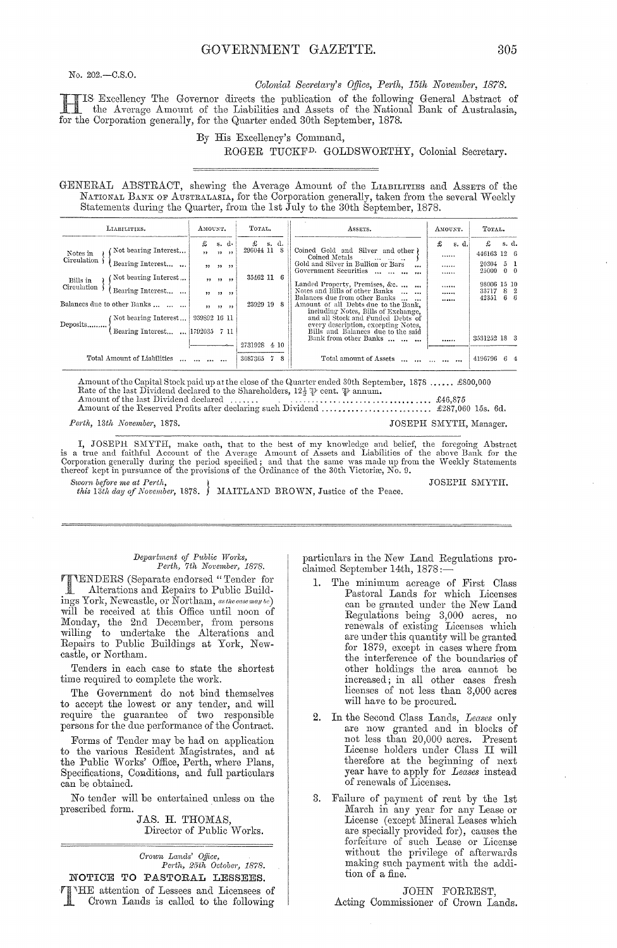No.  $202 - C.S.O.$ 

Colonial Secretary's Office, Perth, 15th November, 1878.

IS Excellency The Governor directs the publication of the following General Abstract of the Averson Amount of the Liabilities and Amount of the Times the Average Amount of the Liabilities and Assets of the National Bank of Australasia, for the Corporation generally, for the Quarter ended 30th September, 1878.

#### By His Excellency's Command,

#### ROGER TUCKF<sup>D.</sup> GOLDSWORTHY, Colonial Secretary.

GENERAL ABSTRACT, shewing the Average Amount of the LIABILITIES and ASSETS of the NATIONAL BANK OF AUSTRALASIA, for the Corporation generally, taken from the several Weekly Statements during the Quarter, from the 1st July to the 30th September, 1878.

| LIABILITIES.                                                                                            | AMOUNT.                                                 |                                             | ASSETS.                                                                                                                                                                                                                                                      | AMOUNT.                | TOTAL.                                                            |
|---------------------------------------------------------------------------------------------------------|---------------------------------------------------------|---------------------------------------------|--------------------------------------------------------------------------------------------------------------------------------------------------------------------------------------------------------------------------------------------------------------|------------------------|-------------------------------------------------------------------|
| Not bearing Interest<br>Notes in<br>Circulation<br>Bearing Interest<br>Not bearing Interest<br>Bills in | £<br>s. d.<br>$\overline{1}$<br>$22 - 22$<br>22, 22, 22 | £<br>s. d.<br>296044 11<br>-8<br>35462 11 6 | Coined Gold and Silver and other)<br>Coined Metals<br>Gold and Silver in Bullion or Bars<br>$\ddotsc$<br>Government Securities<br>$\cdots$                                                                                                                   | £<br>s. d.<br><br><br> | £<br>s. d.<br>446163 12 6<br>5 1<br>20304<br>$0 \quad 0$<br>25000 |
| Circulation<br>Bearing Interest<br>Balances due to other Banks<br>Mot bearing Interest<br>Deposits      | 55.55<br>$\rightarrow$<br>939892 16 11                  | 23929 19 8                                  | Landed Property, Premises, &c.<br>Notes and Bills of other Banks<br>Balances due from other Banks<br>Amount of all Debts due to the Bank,<br>including Notes, Bills of Exchange,<br>and all Stock and Funded Debts of<br>every description, excepting Notes, | <br><br>               | 98006 15 10<br>33717<br>8 2<br>6 <sub>6</sub><br>42351            |
| Bearing Interest    1792035 7 11                                                                        |                                                         | 2731928 4 10                                | Bills and Balances due to the said<br>Bank from other Banks                                                                                                                                                                                                  |                        | 3531252 18 3                                                      |
| Total Amount of Liabilities                                                                             |                                                         | 3087365<br>-8                               | Total amount of Assets                                                                                                                                                                                                                                       |                        | 4196796<br>64                                                     |

Amount of the Capital Stock paid up at the close of the Quarter ended 30th September, 1878 ...... £800,000 Rate of the last Dividend declared to the Shareholders,  $12\frac{1}{2}$   $\psi$  cent.  $\psi$  annum. Amount of the last Dividend declared

JOSEPH SMYTH, Manager.

Perth, 13th November, 1878.

I, JOSEPH SMYTH, make oath, that to the best of my knowledge and belief, the foregoing Abstract<br>is a true and faithful Account of the Average Amount of Assets and Liabilities of the above Bank for the<br>Corporation generally Sworn before me at Perth,

this 13th day of November, 1878. ) MAITLAND BROWN, Justice of the Peace.

JOSEPH SMYTH.

#### Department of Public Works, Perth, 7th November, 1878.

TIMENDERS (Separate endorsed "Tender for Alterations and Popolitical Contractors Alterations and Repairs to Public Buildings York, Newcastle, or Northam, as the case may be)<br>will be received at this Office until noon of Monday, the 2nd December, from persons willing to undertake the Alterations and Repairs to Public Buildings at York, Newcastle, or Northam.

Tenders in each case to state the shortest time required to complete the work.

The Government do not bind themselves to accept the lowest or any tender, and will<br>require the guarantee of two responsible persons for the due performance of the Contract.

Forms of Tender may be had on application to the various Resident Magistrates, and at the Public Works' Office, Perth, where Plans, Specifications, Conditions, and full particulars can be obtained.

No tender will be entertained unless on the prescribed form.

JAS. H. THOMAS, Director of Public Works.

Crown Lands' Office, Perth, 25th October, 1878. NOTICE TO PASTORAL LESSEES. THE attention of Lessees and Licensees of Crown Lands is called to the following particulars in the New Land Regulations proclaimed September 14th, 1878:-

- 1. The minimum acreage of First Class Pastoral Lands for which Licenses can be granted under the New Land Regulations being 3,000 acres, no renewals of existing Licenses which<br>are under this quantity will be granted for 1879, except in cases where from the interference of the boundaries of other holdings the area cannot be increased; in all other cases fresh licenses of not less than 3,000 acres will have to be procured.
- 2. In the Second Class Lands, Leases only are now granted and in blocks of not less than 20,000 acres. Present License holders under Class II will therefore at the beginning of next year have to apply for Leases instead<br>of renewals of Licenses.
- 3. Failure of payment of rent by the 1st March in any year for any Lease or License (except Mineral Leases which are specially provided for), causes the<br>forfeiture of such Lease or License<br>without the privilege of afterwards making such payment with the addition of a fine.

JOHN FORREST,

Acting Commissioner of Crown Lands.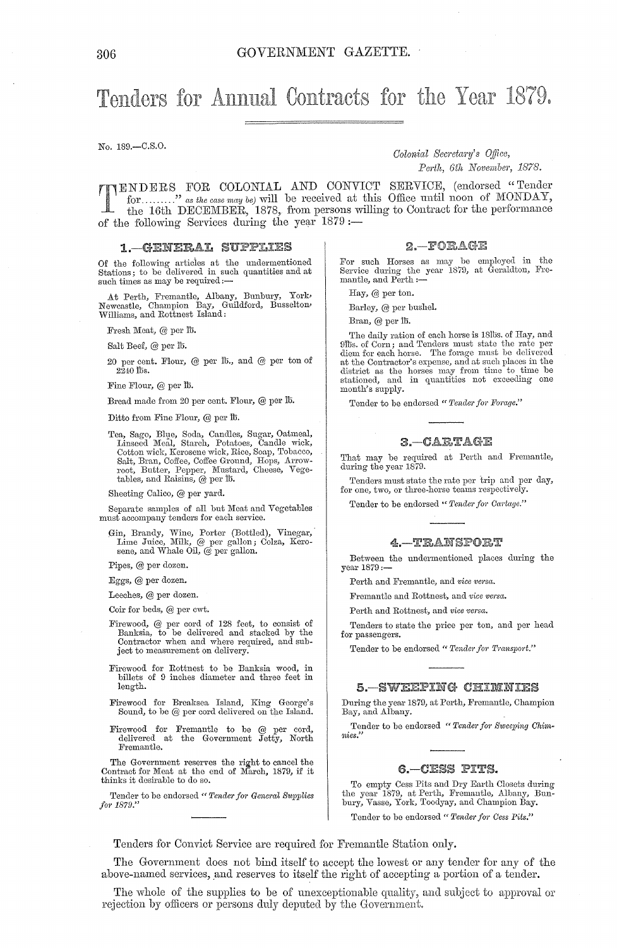# Tenders for Annual Contracts for the Year 1879.

No. 189.-C.S.0.

*Colonial Secretary's Office, Perth, 6th November, 1878.* 

ENDERS FOR COLONIAL AND CONVIOT SERVIOE, (endorsed "Tender for ........." as the case may be) will be received at this Office until noon of MONDAY, the 16th DECEMBER, 1878, from persons willing' to Oontract for the performance of the following Services during the year  $1879:$ 

#### 1. GENERAL SUPPLIES

Of the following articies at the undermentioned Stations; to be delivered in such quantities and at such times as may be required:-

At Perth, Fremantle, Albany, Bunbury, York> Newcastle, Champion Bay, Guildford, Busselton, Williams, and Rottnest Island:

Fresh Meat, @ per lb.

Salt Beef, @ per lb.

20 per cent. Flour, @ per lb., and @ per ton of  $2\bar{2}40$  lbs.

Fine Flour, @ per lb.

Bread made from 20 per cent. Flour, @ per lb.

Ditto from Fine Flour, @ per lb.

Tea, Sago, Blue, Soda, Candles, Sugar, Oatmeal,<br>Linseed Meal, Starch, Potatoes, Candle wick,<br>Cotton wick, Kerosene wick, Rice, Soap, Tobacco, Salt, Bran, Coffee, Coffee Ground, Hops, Arrow-root, Butter, Pepper, Mustard, Cheese, Vegetables, and Raisins, @ per lb.

Sheeting Calico, @ per yard.

Separate samples of all but Meat and Vegetables must accompany tenders for each service.

Gin, Brandy, Wine, Porter (Bottled), Vinegar, Lime Juice, Milk, @ per gallon; Colza, Kerosene, and Whale Oil, @ per gallon.

Pipes, @ per dozen.

Eggs, @ per dozen.

Leeches, @ per dozen.

Coir for beds, @ per cwt.

- Firewood, @ per cord of 128 feet, to consist of Banksia, to be delivered and stacked by the Contractor when and where required, and subject to measurement on delivery.
- Firewood for Rottnest to be Banksia wood, in billets of 9 inches diameter and three feet in length.
- Firewood for Breaksea Island, King George's Sound, to be @ per cord delivered on the Island.
- Firewood for Fremantle to be @ per cord, delivered at the Government Jetty, North Fremantle.

The Government reserves the right to cancel the Contract for Meat at the end of March, 1879, if it thinks it desirable to do so.

Tender to be endorsed " Tender for General Supplies *f01'* 1879."

 $2 - FORAGE$ 

For such Horses as may be employed in the Service during the year 1879, at Geraldton, Fremantle, and Perth :-

Hay, @ per ton.

Barley, @ per bushel.

Bran, @ per lb.

The daily ration of each horse is 18lbs. of Hay, and<br>9lbs. of Corn; and Tenders must state the rate per<br>diem for each horse. The forage must be delivered<br>at the Contractor's expense, and at such places in the<br>district as t month's supply.

Tender to be endorsed " Tender for Forage."

#### 3. - CARTAGE

That may be required at Perth and Fremantle, during the year 1879.

Tenders must state the rate per trip and per day, for one, two, or three-horse teams respectively.

Tender to be endorsed " Tender for Cartage."

#### $4 - TRANTSPORT$

Between the undermentioned places during the year 1879:-

Perth and Fremantle, and *vice versa*.

Fremantle and Rottnest, and *vice versa*.

Perth and Rottnest, and *vice versa.* 

Tenders to state the price per ton, and per head for passengers.

Tender to be endorsed " Tender for Transport."

#### 5. SWEEPING CHIMNIES

During the year 1879, at Perth, Fremantle, Champion Bay, and Albany.

Tender to be endorsed "Tender for Sweeping Chim*nies."* 

#### 6. - CESS PITS.

To empty Cess Pits and Dry Earth Closets during the year 1879, at Perth, Fremantle, Albany, Bunbury, Vasse, York, Toodyay, and Champion Bay.

Tender to be endorsed " Tender for Cess Pits."

Tenders for Oonvict Service are required for Fremantle Station only.

The Government does not bind itself to accept the lowest or any tender for any of the above-named services, and reserves to itself the right of accepting a portion of a tender.

The whole of the supplies to be of unexceptionable quality, and subject to approval or rejection by officers or persons duly deputed by the Government.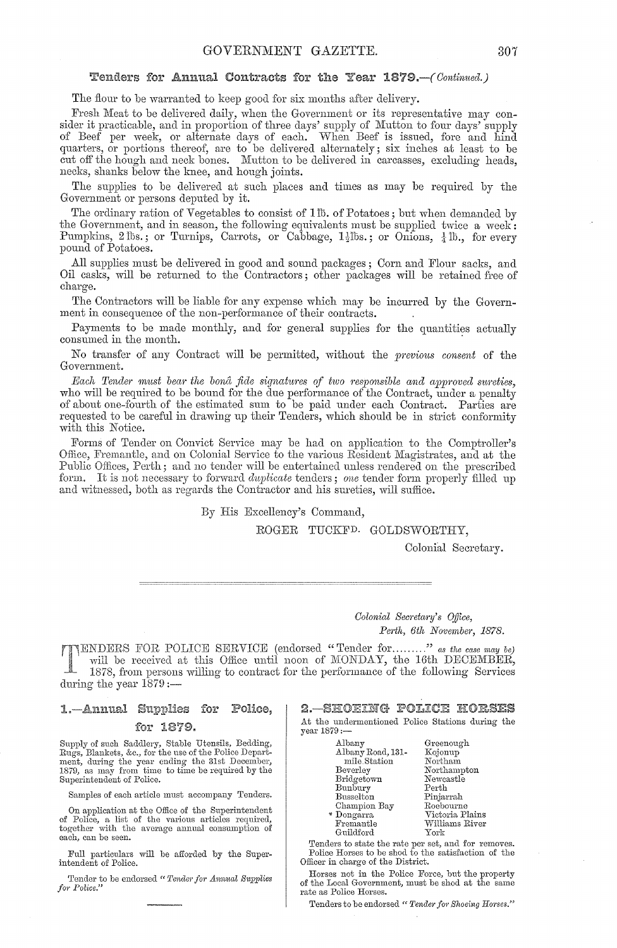### Fenders for Annual Contracts for the Year 1879.-(Continued.)

The flour to be warranted to keep good for six months after delivery.

Fresh Meat to he delivered daily, when the Government or its representative may consider it practicable, and in proportion of three days' supply of Mutton to four days' supply of Beef per week, or alternate days of each. vVhen Beef is issued, fore and hind quarters, or portions thereof, are to be delivered alternately; six inches at least to be cut off the hough and neck bones. Mutton to be delivered in carcasses, excluding heads, necks, shanks helow the knee, and hough joints.

The supplies to be delivered at such places and times as may be required by the Government or persons deputed hy it.

The ordinary ration of Vegetahles to consist of lID. of Potatoes; hut when demanded by the Government, and in season, the following equivalents must be supplied twice a week: Pumpkins, 2 lbs.; or Turnips, Carrots, or Cabbage,  $1\frac{1}{2}$ lbs.; or Onions,  $\frac{1}{4}$ lb., for every pound of Potatoes.

All supplies must be delivered in good and sound packages; Corn and Flour sacks, and Oil casks, will he returned to the Contractors; other packages will he retained free of charge.

The Contractors will be liable for any expense which may be incurred by the Government in consequence of the non-performance of their contracts.

Payments to he made monthly, and for general supplies for the quantities actually consumed in the month. .

No transfer of any Contract will be permitted, without the *previous consent* of the Government.

*Each Tender must bear the bona fide signatures of two responsible and approved sureties,* who will be required to be bound for the due performance of the Contract, under a penalty of ahout one-fourth of the estimated sum to be paid under each Contract. Parties are requested to he careful in drawing up their Tenders, which should be in strict conformity with this Notice.

Forms of Tender on Convict Service may he had on application to the Comptroller's Office, Fremantle, and on Colonial Service to the various Resident Magistrates, and at the Public Offices, Perth; and no tender will be entertained unless rendered on the prescribed form. It is not necessary to forward *duplicate* tenders; one tender form properly filled up and witnessed, both as regards the Contractor and his sureties, will suffice.

By His Excellency's Command,

ROGER TUCKFD. GOLDSWORTHY,

Colonial Secretary.

*Oolonial Secnta1'Y'* 8 *o.Uice, Pe1·th, 6th November, 1878.* 

**TENDERS FOR POLICE SERVICE** (endorsed "Tender for........." as the case may be) will be received at this Office until noon of MONDAY, the 16th DECEMBER, 1878, from persons willing' to contract for the performance of the following Services during the year  $1879$  :-

#### 1.—Annual Supplies for Police. for 1879.

Supply of such Saddlery, Stable Utensils, Bedding,<br>Rugs, Blankets, &c., for the use of the Police Depart-<br>ment, during the year ending the 31st December,<br>1879, as may from time to time be required by the Superintendent of Police.

Samples of each article must accompany Tenders.

On application at the Office of the Superintendent of Police, a list of the various articles required, together with the average annual consumption of each, can be seen.

Full particulars will be afforded by the Superintendent or Police.

Tender to be endorsed " *Tender for Annual Supplies for Police.*"

2. SHOEING POLICE HORSES At the undermentioned Police Stations during the year 1879:-

| Albany            | Greenough       |
|-------------------|-----------------|
| Albany Road, 131- | Kojonup         |
| mile Station      | Northam         |
| Beverley          | Northampton     |
| Bridgetown        | Newcastle       |
| Bunbury           | Perth           |
| <b>Busselton</b>  | Pinjarrah       |
| Champion Bay      | Roebourne       |
| * Dongarra        | Victoria Plains |
| Fremantle         | Williams River  |
| Guildford         | York            |

Tenders to state the rate per set, and for removes. Police Horses to be shod to the satisfaction of the Officer in charge of the District.

Horses not in the Police Force, but the property of the Local Government, must be shod at the same rate as Police Horses.

Tenders to be endorsed " Tender for Shoeing Horses."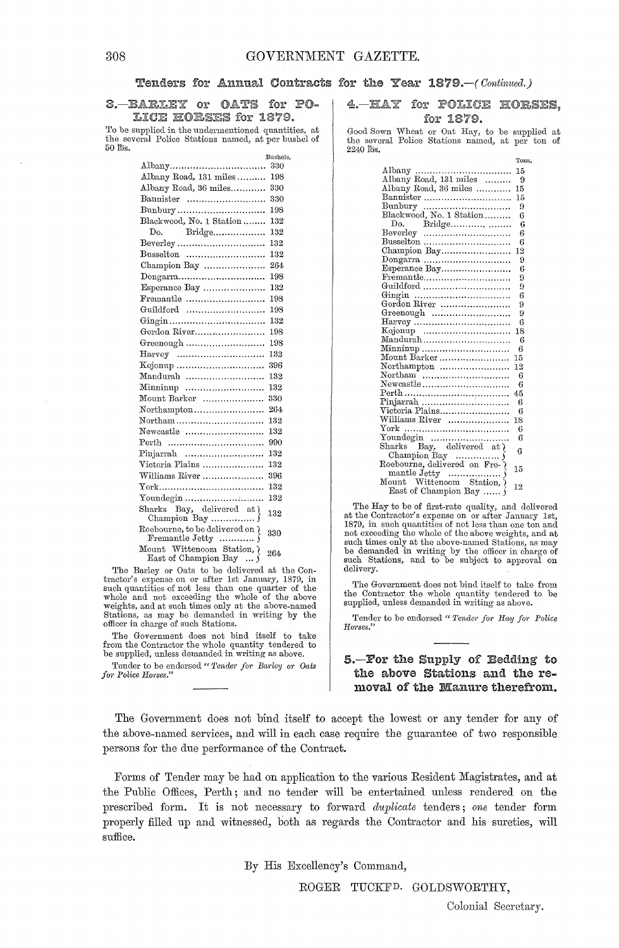#### Tenders for Annual Contracts for the Year 1879.-(Continued.)

#### 3. BARLEY or OATS for PO-LICE HORSES for 1879.

To be supplied in the undermentioned quantities, at the several Police Stations named, at per bushel of 50 fIls. **Bushels.** 

|                                                                        | busneis. |
|------------------------------------------------------------------------|----------|
| Albany                                                                 | 330      |
| Albany Road, 131 miles                                                 | 198      |
| Albany Road, 36 miles                                                  | 330      |
| Bannister                                                              | 330      |
| Bunbury                                                                | 198      |
| Blackwood, No. 1 Station                                               | 132      |
| Do.<br>Bridge                                                          | 132      |
|                                                                        | 132      |
| Busselton                                                              | 132      |
| Champion Bay                                                           | 264      |
| Dongarra                                                               | 198      |
| Esperance Bay                                                          | 132      |
| Fremantle                                                              | 198      |
| Guildford                                                              | 198      |
|                                                                        | 132      |
| Gordon River                                                           | 198      |
| Greenough                                                              | 198      |
| $\text{Harvey}$                                                        | 132      |
|                                                                        | 396      |
| Mandurah                                                               | 132      |
| Minninup                                                               | 132      |
| Mount Barker                                                           | 330      |
| Northampton                                                            | 264      |
| Northam                                                                | 132      |
| Newcastle                                                              | 132      |
|                                                                        | 990      |
| Pinjarrah                                                              | 132      |
| Victoria Plains                                                        | 132      |
| Williams River                                                         | 396      |
|                                                                        | 132      |
| Youndegin                                                              | 132      |
| Sharks Bay, delivered at {                                             | 132      |
| Roebourne, to be delivered on {                                        | 330      |
| Mount Wittencom Station, $\sum_{\text{East of } \text{Champion Bay}} $ | 264      |

The Barley or Oats to be delivered at the Con-tractor's expense on or after 1st January, 1879, in such quantities of not less than one quarter of the whole and not exceeding the whole of the above weights, and at such times only at the above-named Stations, as may be demanded in writing by the officer in charge of such Stations.

The Government does not bind itself to take from the Contractor the whole quantity tendered to be supplied, unless demanded in writing as above.

Tender to be endorsed " Tender for Barley or Oats  $for$  Police Horses."

4. HAY for POLICE HORSES. for 1879.

Good Sown Wheat or Oat Hay, to be supplied at the several Police Stations named, at per ton of  $2240$   $\overline{\text{b}}\text{s}$ .

|                                              | Tons. |
|----------------------------------------------|-------|
|                                              | 15    |
| Albany Road, 131 miles                       | 9     |
| Albany Road, 36 miles                        | 15    |
| Bannister                                    | 15    |
|                                              | 9     |
| Bunbury<br>Blackwood, No. 1 Station          | 6     |
|                                              | 6     |
|                                              | 6     |
| Busselton                                    | 6     |
| Champion Bay                                 | 12    |
|                                              | 9     |
| Esperance Bay                                | 6     |
| Fremantle                                    | 9     |
| Guildford                                    | 9     |
|                                              | 6     |
| Gordon River                                 | 9     |
|                                              | 9     |
| $\text{Harvey}$                              | 6     |
|                                              | 18    |
| Mandurah                                     | 6     |
| Minninup                                     | 6     |
| Mount Barker                                 | 15    |
| Northampton                                  | 12    |
|                                              | 6     |
| Newcastle                                    | 6     |
|                                              | 45    |
|                                              | 6     |
| Victoria Plains                              | 6     |
| Williams River                               | 18    |
|                                              | 6     |
|                                              | 6     |
| Sharks Bay, delivered at {                   | 6     |
|                                              |       |
|                                              | 15    |
| Champion Bay<br>Roebourne, delivered on Fre- |       |
| Mount Wittenoom Station, ?                   | 12    |
| East of Champion Bay                         |       |

The Hay to be of first-rate quality, and delivered<br>at the Contractor's expense on or after January 1st,<br>1879, in such quantities of not less than one ton and not exceeding the whole of the above weights, and at such times only at the above-named Stations, as may be demanded in writing by the officer in charge of such Stations, and to be subject to approval on delivery.

The Government does not bind itself to take from the Contractor the whole quantity tendered to be supplied, unless demanded in writing as above.

Tender to be endorsed " Tender for Hay for Police *H01'ses."* 

## 5.-For the Supply of Bedding to the above Stations and the removal of the Manure therefrom.

The Government does not bind itself to accept the lowest or any tender for any of the above-named services, and will in each case require the guarantee of two responsible persons for the due performance of the Contract.

Forms of Tender may be had on application to the various Resident Magistrates, and at the Public Offices, Perth; and no tender will be entertained unless rendered on the prescribed form. It is not necessary to forward *duplicate* tenders; *one* tender form properly filled up and witnessed, both as regards the Contractor and his sureties, will suffice.

By His Excellency's Command,

ROGER TUCKFD. GOLDSWORTHY,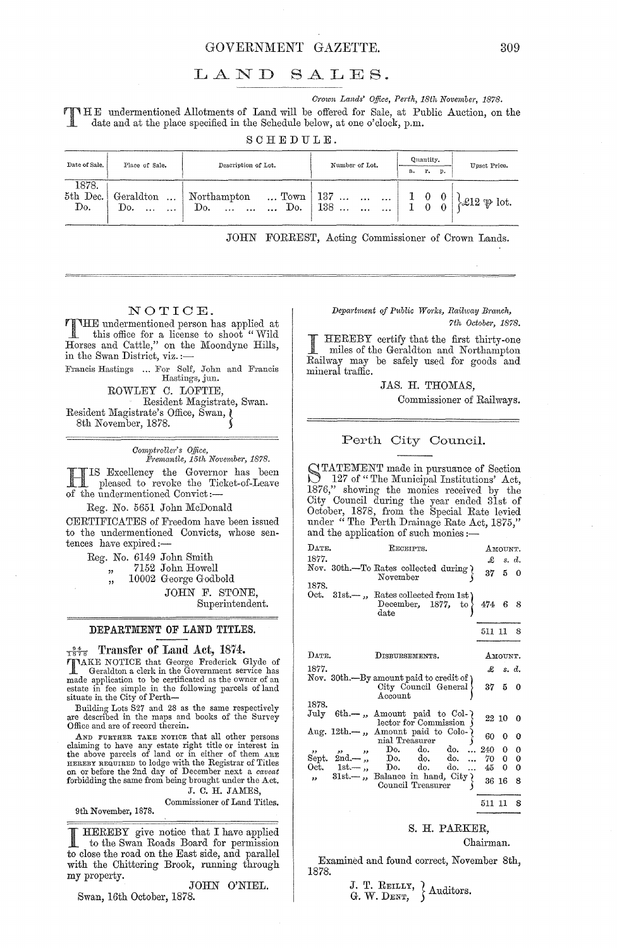### GOVERNMENT GAZETTE. 309

# LAND SALES.

*C1'own Lands' Office, Perth, 18th November, 1878.*  HE undermentioned Allotments of Land will be offered for Sale, at Public Auction, on the date and at the place specified in the Schedule below, at one o'clock, p.m.

SCHEDULE.

| Date of Sale.            | Place of Sale.                                        | Description of Lot.                                           | Number of Lot.                                                                                                | Quantity.<br>r.<br>p.<br>a. | Upset Price.                         |  |  |
|--------------------------|-------------------------------------------------------|---------------------------------------------------------------|---------------------------------------------------------------------------------------------------------------|-----------------------------|--------------------------------------|--|--|
| 1878.<br>5th Dec.<br>Do. | Geraldton<br>$\ddotsc$<br>Do.<br>$\cdots$<br>$\cdots$ | Northampton<br>Do.<br>Do.<br>$\cdots$<br>$\cdots$<br>$\cdots$ | $\ldots$ Town   137 $\ldots$ $\ldots$ $\ldots$  <br>138<br>$\mathcal{L}_{\mathbf{A}}$<br>$\cdots$<br>$\cdots$ | $1 \quad 0$                 | $\mathscr{L}12 \oplus \mathrm{lot.}$ |  |  |

JOHN FORREST, Acting Commissioner of Crown Lands.

# NOTIOE.

THE undermentioned person has applied at this office for a license to shoot "Wild Horses and Cattle," on the Moondyne Hills, in the Swan District, viz. :-

Francis Hastings ... For Self, John and Francis Hastings, jun.

ROWLEY C. LOFTIE, Resident Magistrate, Swan. Resident Magistrate's Office, Swan, Q

8th November, 1878.

*Oompb'ollm" s o.tfice, Fl'emctntle, 15th Novembel', 1878.* 

HIS Excellency the Governor has been pleased to revoke the Ticket-of-Leave of the undermentioned Convict:-

Reg. No. 5651 John McDonald

CERTIFICATES of Freedom have been issued to the undermentioned Convicts, whose sentences have expired:-

> Reg. No. 6149 John Smith "," 7152 John Howell","<br>"," 10002 George Godb 10002 George Godbold

JOHN F. STONE, Superintendent.

#### DEPARTMENT OF LAND TITLES.

#### $\frac{94}{1878}$  Transfer of Land Act, 1874.

TAKE NOTICE that George Frederick Glyde of Geraldton a clerk in the Government service has made application to be certificated as the owner of an estate in fee simple in the following parcels of land situate in the City of Perth-

Building Lots S27 and 28 as the same respectively are described in the maps and books of the Survey Office and are of record therein.

AND FURTHER TAKE NOTIOE that all other persons claiming to have any estate right title or interest in. the above parcels of land or in either of them ARE HEREBY REQUIRED to lodge with the Registrar of Titles on or before the 2nd day of December next a *caveat*  forbidding the same from being brought under the Act.

J. C. H. JAMES,

Commissioner of Land Titles.

I HEREBY give notice that I have applied to the Swan Roads Board for permission to close the road on the East side, and parallel with the Chittering Brook, running through my property.

JOHN O'NIEL.

#### Swan, 16th October, 1878.

9th November, 1878.

 $Department of Public Works, Railway Branch,$ 

*7th Odobe)', 1878.* 

HEREBY certify that the first thirty-one miles of the Geraldton and Northampton Railway may be safely used for goods and mineral traffic.

JAS. H. THOMAS,

Commissioner of Railways.

#### Perth Oity Oouncil.

STATEMENT made in pursuance of Section<br>
127 of "The Municipal Institutions' Act, 1876," showing' the monies received by the City Council during the year ended 31st of October, 1878, from the Special Rate levied under "The Perth Drainage Rate Act, 1875," and the application of such monies :—

| $\rm{DATE}$ .           | RECEIPTS.                                                                                            |              | Амоимт.        |             |
|-------------------------|------------------------------------------------------------------------------------------------------|--------------|----------------|-------------|
| 1877.                   |                                                                                                      | £            |                | s. d.       |
|                         | Nov. 30th.-To Rates collected during {<br>November                                                   | 37           | 5.             | $\bf{0}$    |
| 1878.                   |                                                                                                      |              |                |             |
|                         | Oct. $31st$ —, Rates collected from 1st)<br>December, $1877$ , to $\}$<br>$_{\text{date}}$           | 474 6        |                | 8           |
|                         |                                                                                                      | 511 11 8     |                |             |
| DATE.                   | DISBURSEMENTS.                                                                                       |              | Амоимт.        |             |
| 1877.                   |                                                                                                      |              | $\pounds$ s.d. |             |
|                         | Nov. 30th.—By amount paid to credit of<br>City Council General<br>$\rm Account$                      |              | 37, 5, 0       |             |
| 1878.                   |                                                                                                      |              |                |             |
| $\rm{July}$             | $6th$ —, Amount paid to Col-<br>lector for Commission                                                |              | 22 10          | $\mathbf 0$ |
|                         | Aug. 12th. $\rightarrow$ , Amount paid to Colo-<br>nial Treasurer                                    | 60           |                | 0           |
| $, \, \cdot$            | Do.<br>do.<br>do.<br>وو<br>$\mathbf{z}$                                                              | 240          |                | 0           |
|                         | Sept. $2nd -$ ,<br>$Do.$ do.<br>do.                                                                  | 70 -         | 0              | $\bf{0}$    |
| Oct.                    | $1st -$ ,<br>$Do.$ do. do.<br>$\dddot{\phantom{0}}$                                                  | $45^{\circ}$ | 0              | $\bf{0}$    |
| $\overline{\mathbf{z}}$ | 31st. $\overline{\phantom{a}}$ , Balance in hand, City $\overline{\phantom{a}}$<br>Council Treasurer |              | 36 16          | 8           |
|                         |                                                                                                      | 511 11       |                | 8           |

### S. H. PARKER,

Chairman.

Examined and found correct, November 8th, 1878.

J. T. REILLY,  $\left\{\right.}$  Auditors.<br>G. W. DENT,  $\left.\right\}$  Auditors.